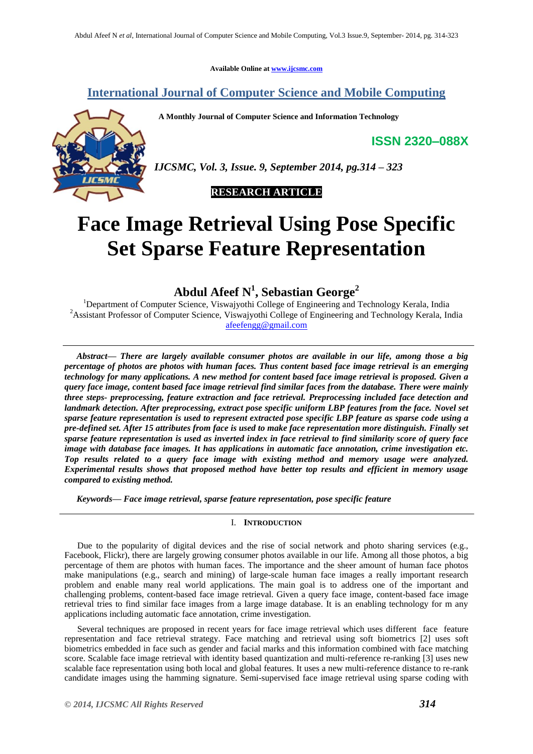**Available Online at www.ijcsmc.com**

# **International Journal of Computer Science and Mobile Computing**

 **A Monthly Journal of Computer Science and Information Technology**

**ISSN 2320–088X**



*IJCSMC, Vol. 3, Issue. 9, September 2014, pg.314 – 323*

 **RESEARCH ARTICLE**

# **Face Image Retrieval Using Pose Specific Set Sparse Feature Representation**

**Abdul Afeef N<sup>1</sup> , Sebastian George<sup>2</sup>**

<sup>1</sup>Department of Computer Science, Viswajyothi College of Engineering and Technology Kerala, India <sup>2</sup>Assistant Professor of Computer Science, Viswajyothi College of Engineering and Technology Kerala, India afeefengg@gmail.com

*Abstract***—** *There are largely available consumer photos are available in our life, among those a big percentage of photos are photos with human faces. Thus content based face image retrieval is an emerging technology for many applications. A new method for content based face image retrieval is proposed. Given a query face image, content based face image retrieval find similar faces from the database. There were mainly three steps- preprocessing, feature extraction and face retrieval. Preprocessing included face detection and landmark detection. After preprocessing, extract pose specific uniform LBP features from the face. Novel set sparse feature representation is used to represent extracted pose specific LBP feature as sparse code using a pre-defined set. After 15 attributes from face is used to make face representation more distinguish. Finally set sparse feature representation is used as inverted index in face retrieval to find similarity score of query face image with database face images. It has applications in automatic face annotation, crime investigation etc. Top results related to a query face image with existing method and memory usage were analyzed. Experimental results shows that proposed method have better top results and efficient in memory usage compared to existing method.*

*Keywords— Face image retrieval, sparse feature representation, pose specific feature*

# I. **INTRODUCTION**

Due to the popularity of digital devices and the rise of social network and photo sharing services (e.g., Facebook, Flickr), there are largely growing consumer photos available in our life. Among all those photos, a big percentage of them are photos with human faces. The importance and the sheer amount of human face photos make manipulations (e.g., search and mining) of large-scale human face images a really important research problem and enable many real world applications. The main goal is to address one of the important and challenging problems, content-based face image retrieval. Given a query face image, content-based face image retrieval tries to find similar face images from a large image database. It is an enabling technology for m any applications including automatic face annotation, crime investigation.

Several techniques are proposed in recent years for face image retrieval which uses different face feature representation and face retrieval strategy. Face matching and retrieval using soft biometrics [2] uses soft biometrics embedded in face such as gender and facial marks and this information combined with face matching score. Scalable face image retrieval with identity based quantization and multi-reference re-ranking [3] uses new scalable face representation using both local and global features. It uses a new multi-reference distance to re-rank candidate images using the hamming signature. Semi-supervised face image retrieval using sparse coding with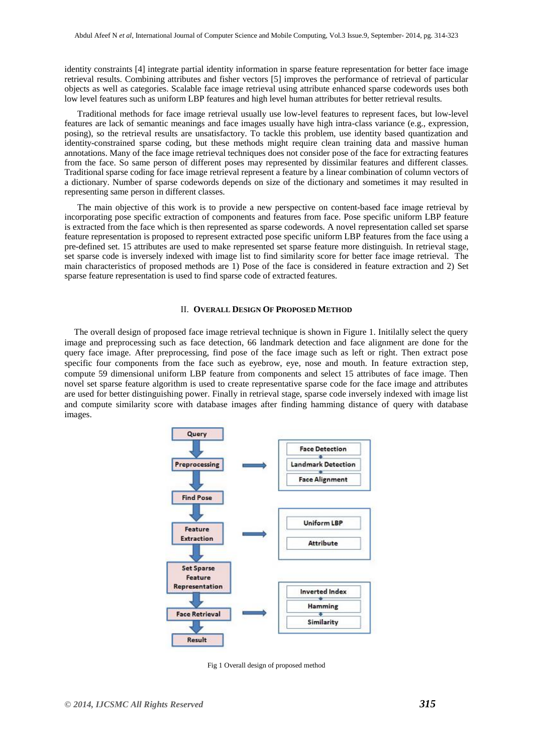identity constraints [4] integrate partial identity information in sparse feature representation for better face image retrieval results. Combining attributes and fisher vectors [5] improves the performance of retrieval of particular objects as well as categories. Scalable face image retrieval using attribute enhanced sparse codewords uses both low level features such as uniform LBP features and high level human attributes for better retrieval results.

Traditional methods for face image retrieval usually use low-level features to represent faces, but low-level features are lack of semantic meanings and face images usually have high intra-class variance (e.g., expression, posing), so the retrieval results are unsatisfactory. To tackle this problem, use identity based quantization and identity-constrained sparse coding, but these methods might require clean training data and massive human annotations. Many of the face image retrieval techniques does not consider pose of the face for extracting features from the face. So same person of different poses may represented by dissimilar features and different classes. Traditional sparse coding for face image retrieval represent a feature by a linear combination of column vectors of a dictionary. Number of sparse codewords depends on size of the dictionary and sometimes it may resulted in representing same person in different classes.

The main objective of this work is to provide a new perspective on content-based face image retrieval by incorporating pose specific extraction of components and features from face. Pose specific uniform LBP feature is extracted from the face which is then represented as sparse codewords. A novel representation called set sparse feature representation is proposed to represent extracted pose specific uniform LBP features from the face using a pre-defined set. 15 attributes are used to make represented set sparse feature more distinguish. In retrieval stage, set sparse code is inversely indexed with image list to find similarity score for better face image retrieval. The main characteristics of proposed methods are 1) Pose of the face is considered in feature extraction and 2) Set sparse feature representation is used to find sparse code of extracted features.

#### II. **OVERALL DESIGN OF PROPOSED METHOD**

The overall design of proposed face image retrieval technique is shown in Figure 1. Initilally select the query image and preprocessing such as face detection, 66 landmark detection and face alignment are done for the query face image. After preprocessing, find pose of the face image such as left or right. Then extract pose specific four components from the face such as eyebrow, eye, nose and mouth. In feature extraction step, compute 59 dimensional uniform LBP feature from components and select 15 attributes of face image. Then novel set sparse feature algorithm is used to create representative sparse code for the face image and attributes are used for better distinguishing power. Finally in retrieval stage, sparse code inversely indexed with image list and compute similarity score with database images after finding hamming distance of query with database images.



Fig 1 Overall design of proposed method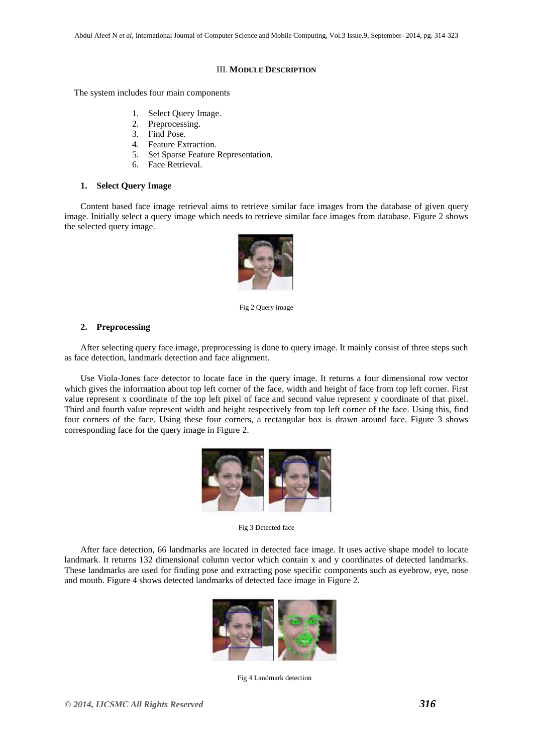#### III. **MODULE DESCRIPTION**

The system includes four main components

- 1. Select Query Image.
- 2. Preprocessing.
- 3. Find Pose.
- 4. Feature Extraction.
- 5. Set Sparse Feature Representation.
- 6. Face Retrieval.

#### **1. Select Query Image**

Content based face image retrieval aims to retrieve similar face images from the database of given query image. Initially select a query image which needs to retrieve similar face images from database. Figure 2 shows the selected query image.



Fig 2 Query image

## **2. Preprocessing**

After selecting query face image, preprocessing is done to query image. It mainly consist of three steps such as face detection, landmark detection and face alignment.

Use Viola-Jones face detector to locate face in the query image. It returns a four dimensional row vector which gives the information about top left corner of the face, width and height of face from top left corner. First value represent x coordinate of the top left pixel of face and second value represent y coordinate of that pixel. Third and fourth value represent width and height respectively from top left corner of the face. Using this, find four corners of the face. Using these four corners, a rectangular box is drawn around face. Figure 3 shows corresponding face for the query image in Figure 2.



Fig 3 Detected face

After face detection, 66 landmarks are located in detected face image. It uses active shape model to locate landmark. It returns 132 dimensional column vector which contain x and y coordinates of detected landmarks. These landmarks are used for finding pose and extracting pose specific components such as eyebrow, eye, nose and mouth. Figure 4 shows detected landmarks of detected face image in Figure 2.



Fig 4 Landmark detection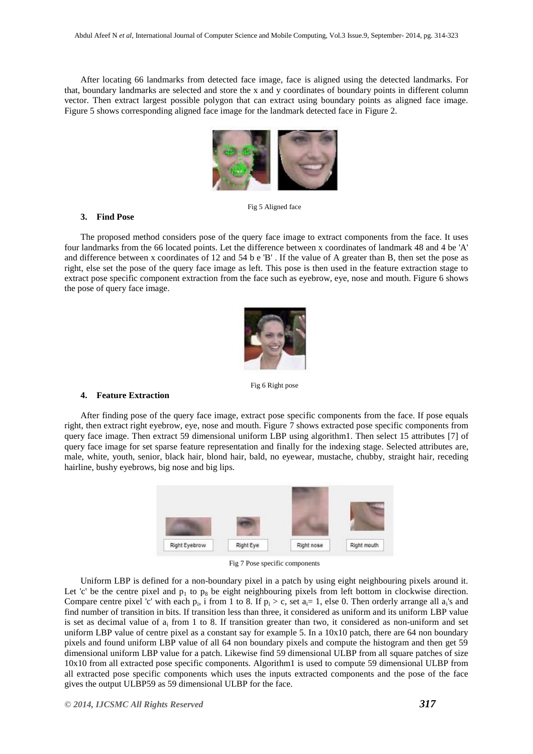After locating 66 landmarks from detected face image, face is aligned using the detected landmarks. For that, boundary landmarks are selected and store the x and y coordinates of boundary points in different column vector. Then extract largest possible polygon that can extract using boundary points as aligned face image. Figure 5 shows corresponding aligned face image for the landmark detected face in Figure 2.



Fig 5 Aligned face

#### **3. Find Pose**

The proposed method considers pose of the query face image to extract components from the face. It uses four landmarks from the 66 located points. Let the difference between x coordinates of landmark 48 and 4 be 'A' and difference between x coordinates of 12 and 54 b e 'B' . If the value of A greater than B, then set the pose as right, else set the pose of the query face image as left. This pose is then used in the feature extraction stage to extract pose specific component extraction from the face such as eyebrow, eye, nose and mouth. Figure 6 shows the pose of query face image.



Fig 6 Right pose

#### **4. Feature Extraction**

After finding pose of the query face image, extract pose specific components from the face. If pose equals right, then extract right eyebrow, eye, nose and mouth. Figure 7 shows extracted pose specific components from query face image. Then extract 59 dimensional uniform LBP using algorithm1. Then select 15 attributes [7] of query face image for set sparse feature representation and finally for the indexing stage. Selected attributes are, male, white, youth, senior, black hair, blond hair, bald, no eyewear, mustache, chubby, straight hair, receding hairline, bushy eyebrows, big nose and big lips.



Fig 7 Pose specific components

Uniform LBP is defined for a non-boundary pixel in a patch by using eight neighbouring pixels around it. Let 'c' be the centre pixel and  $p_1$  to  $p_8$  be eight neighbouring pixels from left bottom in clockwise direction. Compare centre pixel 'c' with each  $p_i$ , i from 1 to 8. If  $p_i > c$ , set  $a_i = 1$ , else 0. Then orderly arrange all  $a_i$ 's and find number of transition in bits. If transition less than three, it considered as uniform and its uniform LBP value is set as decimal value of  $a_i$  from 1 to 8. If transition greater than two, it considered as non-uniform and set uniform LBP value of centre pixel as a constant say for example 5. In a  $10x10$  patch, there are 64 non boundary pixels and found uniform LBP value of all 64 non boundary pixels and compute the histogram and then get 59 dimensional uniform LBP value for a patch. Likewise find 59 dimensional ULBP from all square patches of size 10x10 from all extracted pose specific components. Algorithm1 is used to compute 59 dimensional ULBP from all extracted pose specific components which uses the inputs extracted components and the pose of the face gives the output ULBP59 as 59 dimensional ULBP for the face.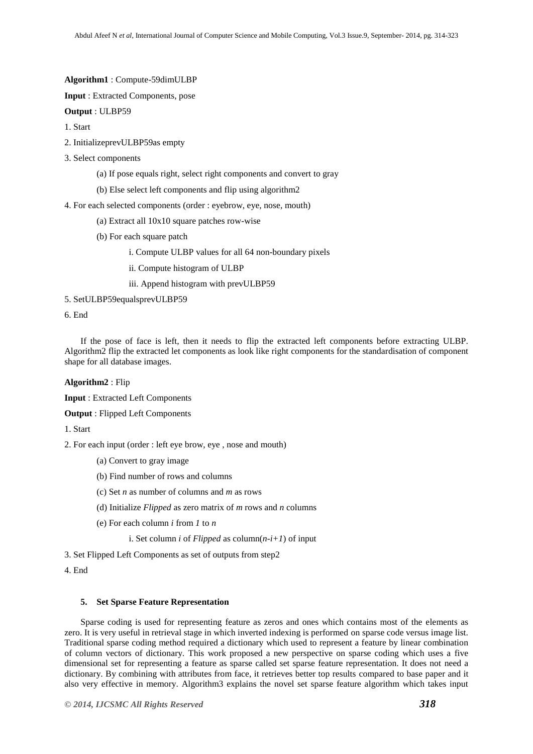**Algorithm1** : Compute-59dimULBP

**Input** : Extracted Components, pose

**Output** : ULBP59

1. Start

- 2. InitializeprevULBP59as empty
- 3. Select components
	- (a) If pose equals right, select right components and convert to gray
	- (b) Else select left components and flip using algorithm2
- 4. For each selected components (order : eyebrow, eye, nose, mouth)
	- (a) Extract all 10x10 square patches row-wise
	- (b) For each square patch
		- i. Compute ULBP values for all 64 non-boundary pixels
		- ii. Compute histogram of ULBP
		- iii. Append histogram with prevULBP59
- 5. SetULBP59equalsprevULBP59

6. End

If the pose of face is left, then it needs to flip the extracted left components before extracting ULBP. Algorithm2 flip the extracted let components as look like right components for the standardisation of component shape for all database images.

#### **Algorithm2** : Flip

**Input** : Extracted Left Components

**Output** : Flipped Left Components

1. Start

2. For each input (order : left eye brow, eye , nose and mouth)

- (a) Convert to gray image
- (b) Find number of rows and columns
- (c) Set *n* as number of columns and *m* as rows
- (d) Initialize *Flipped* as zero matrix of *m* rows and *n* columns
- (e) For each column *i* from *1* to *n*
	- i. Set column *i* of *Flipped* as column(*n-i+1*) of input
- 3. Set Flipped Left Components as set of outputs from step2

4. End

# **5. Set Sparse Feature Representation**

Sparse coding is used for representing feature as zeros and ones which contains most of the elements as zero. It is very useful in retrieval stage in which inverted indexing is performed on sparse code versus image list. Traditional sparse coding method required a dictionary which used to represent a feature by linear combination of column vectors of dictionary. This work proposed a new perspective on sparse coding which uses a five dimensional set for representing a feature as sparse called set sparse feature representation. It does not need a dictionary. By combining with attributes from face, it retrieves better top results compared to base paper and it also very effective in memory. Algorithm3 explains the novel set sparse feature algorithm which takes input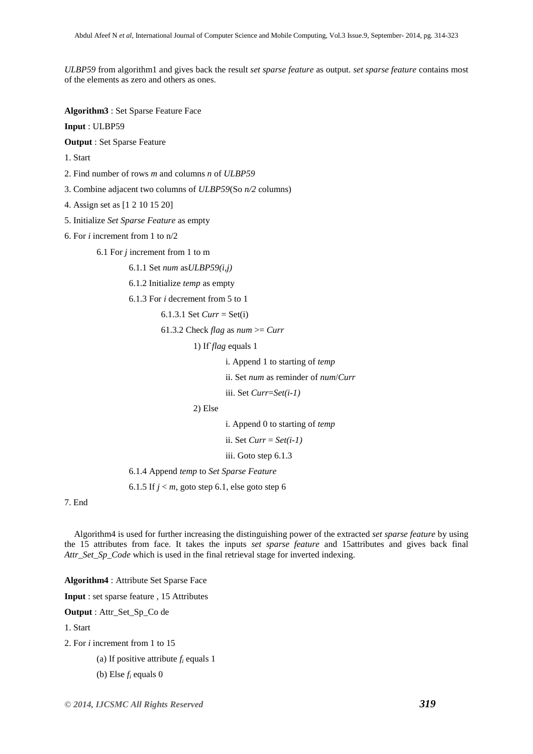*ULBP59* from algorithm1 and gives back the result *set sparse feature* as output. *set sparse feature* contains most of the elements as zero and others as ones.

**Algorithm3** : Set Sparse Feature Face

**Input** : ULBP59

**Output** : Set Sparse Feature

1. Start

2. Find number of rows *m* and columns *n* of *ULBP59*

3. Combine adjacent two columns of *ULBP59*(So *n/2* columns)

- 4. Assign set as [1 2 10 15 20]
- 5. Initialize *Set Sparse Feature* as empty
- 6. For *i* increment from 1 to n/2

6.1 For *j* increment from 1 to m

6.1.1 Set *num* as*ULBP59(i,j)*

6.1.2 Initialize *temp* as empty

6.1.3 For *i* decrement from 5 to 1

6.1.3.1 Set *Curr* = Set(i)

61.3.2 Check *flag* as  $num \geq Curr$ 

1) If`*flag* equals 1

i. Append 1 to starting of *temp*

ii. Set *num* as reminder of *num*/*Curr*

iii. Set *Curr*=*Set(i-1)*

2) Else

i. Append 0 to starting of *temp*

ii. Set *Curr* = *Set(i-1)*

iii. Goto step 6.1.3

6.1.4 Append *temp* to *Set Sparse Feature*

6.1.5 If  $j < m$ , goto step 6.1, else goto step 6

7. End

Algorithm4 is used for further increasing the distinguishing power of the extracted *set sparse feature* by using the 15 attributes from face. It takes the inputs *set sparse feature* and 15attributes and gives back final *Attr\_Set\_Sp\_Code* which is used in the final retrieval stage for inverted indexing.

**Algorithm4** : Attribute Set Sparse Face

**Input** : set sparse feature , 15 Attributes

**Output** : Attr\_Set\_Sp\_Co de

1. Start

2. For *i* increment from 1 to 15

(a) If positive attribute *f<sup>i</sup>* equals 1

(b) Else *f<sup>i</sup>* equals 0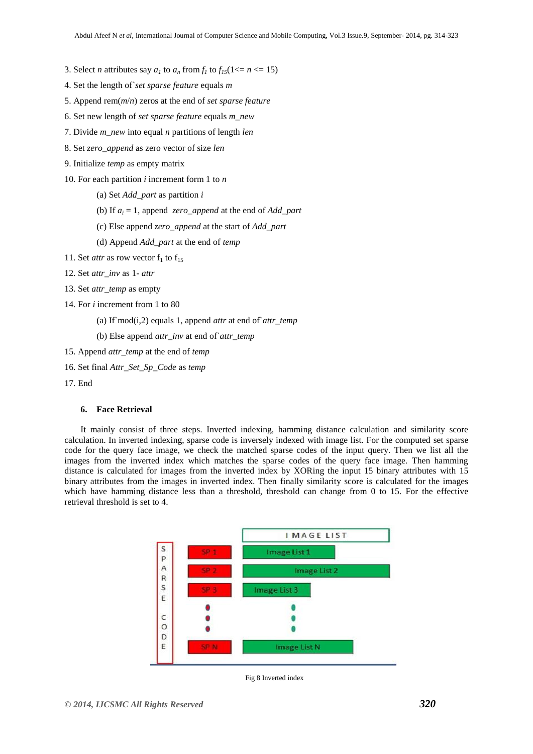3. Select *n* attributes say  $a_1$  to  $a_n$  from  $f_1$  to  $f_{15}(1 \leq n \leq 15)$ 

- 4. Set the length of`*set sparse feature* equals *m*
- 5. Append rem(*m*/*n*) zeros at the end of *set sparse feature*
- 6. Set new length of *set sparse feature* equals *m\_new*
- 7. Divide *m\_new* into equal *n* partitions of length *len*
- 8. Set *zero\_append* as zero vector of size *len*
- 9. Initialize *temp* as empty matrix
- 10. For each partition *i* increment form 1 to *n*
	- (a) Set *Add\_part* as partition *i*
	- (b) If *a<sup>i</sup>* = 1, append *zero\_append* at the end of *Add\_part*
	- (c) Else append *zero\_append* at the start of *Add\_part*
	- (d) Append *Add\_part* at the end of *temp*
- 11. Set *attr* as row vector  $f_1$  to  $f_{15}$
- 12. Set *attr\_inv* as 1- *attr*
- 13. Set *attr\_temp* as empty
- 14. For *i* increment from 1 to 80
	- (a) If`mod(i,2) equals 1, append *attr* at end of`*attr\_temp*
	- (b) Else append *attr\_inv* at end of`*attr\_temp*
- 15. Append *attr\_temp* at the end of *temp*
- 16. Set final *Attr\_Set\_Sp\_Code* as *temp*
- 17. End

# **6. Face Retrieval**

It mainly consist of three steps. Inverted indexing, hamming distance calculation and similarity score calculation. In inverted indexing, sparse code is inversely indexed with image list. For the computed set sparse code for the query face image, we check the matched sparse codes of the input query. Then we list all the images from the inverted index which matches the sparse codes of the query face image. Then hamming distance is calculated for images from the inverted index by XORing the input 15 binary attributes with 15 binary attributes from the images in inverted index. Then finally similarity score is calculated for the images which have hamming distance less than a threshold, threshold can change from 0 to 15. For the effective retrieval threshold is set to 4.



Fig 8 Inverted index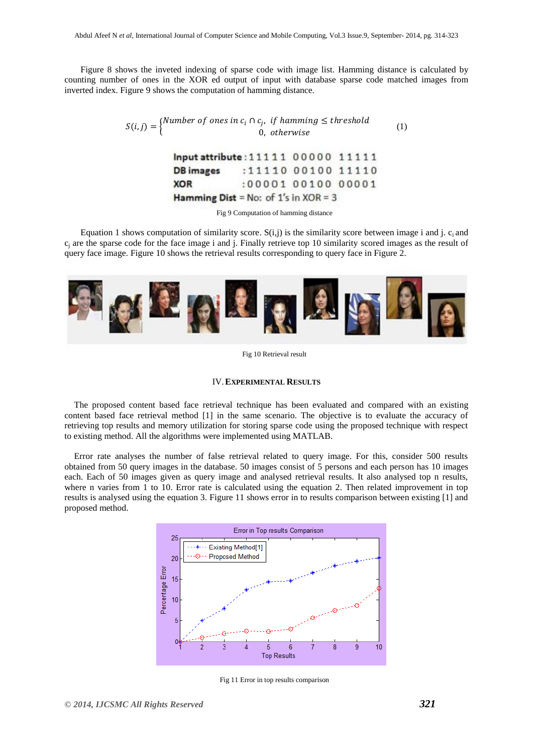Figure 8 shows the inveted indexing of sparse code with image list. Hamming distance is calculated by counting number of ones in the XOR ed output of input with database sparse code matched images from inverted index. Figure 9 shows the computation of hamming distance.

$$
S(i,j) = \begin{cases} Number\ of\ ones\ in\ c_i \cap c_j, \ if\ hamming \le threshold \\ 0, \ otherwise \end{cases} \tag{1}
$$

| Input attribute: 11111 00000 11111              |                    |  |
|-------------------------------------------------|--------------------|--|
| <b>DB</b> images                                | :11110 00100 11110 |  |
| <b>XOR</b>                                      | :00001 00100 00001 |  |
| <b>Hamming Dist</b> = No: of $1's$ in $XOR = 3$ |                    |  |

Fig 9 Computation of hamming distance

Equation 1 shows computation of similarity score.  $S(i,j)$  is the similarity score between image i and j.  $c_i$  and  $c_i$  are the sparse code for the face image i and j. Finally retrieve top 10 similarity scored images as the result of query face image. Figure 10 shows the retrieval results corresponding to query face in Figure 2.



Fig 10 Retrieval result

#### IV.**EXPERIMENTAL RESULTS**

The proposed content based face retrieval technique has been evaluated and compared with an existing content based face retrieval method [1] in the same scenario. The objective is to evaluate the accuracy of retrieving top results and memory utilization for storing sparse code using the proposed technique with respect to existing method. All the algorithms were implemented using MATLAB.

Error rate analyses the number of false retrieval related to query image. For this, consider 500 results obtained from 50 query images in the database. 50 images consist of 5 persons and each person has 10 images each. Each of 50 images given as query image and analysed retrieval results. It also analysed top n results, where n varies from 1 to 10. Error rate is calculated using the equation 2. Then related improvement in top results is analysed using the equation 3. Figure 11 shows error in to results comparison between existing [1] and proposed method.



Fig 11 Error in top results comparison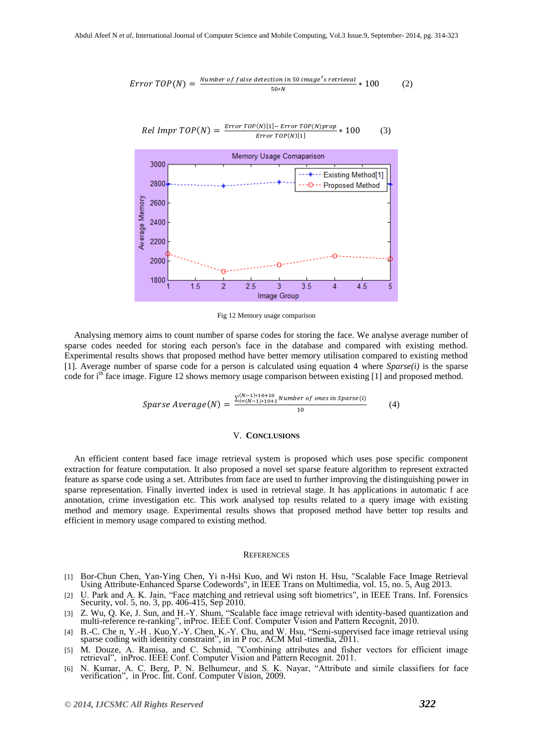$$
Error\ TOP(N) = \frac{Number\ of\ false\ detection\ in\ 50\ image's\ retrieval}{50*N} * 100 \tag{2}
$$

 $\frac{Error\,TOP(N)[1] - Error\,TOP(N)prop}{From\,FOM(N)[1]} * 100$  (3)

 $RelImpr TOP(N) =$ 



Fig 12 Memory usage comparison

Analysing memory aims to count number of sparse codes for storing the face. We analyse average number of sparse codes needed for storing each person's face in the database and compared with existing method. Experimental results shows that proposed method have better memory utilisation compared to existing method [1]. Average number of sparse code for a person is calculated using equation 4 where *Sparse(i)* is the sparse code for  $i<sup>th</sup>$  face image. Figure 12 shows memory usage comparison between existing [1] and proposed method.

$$
Sparse Average(N) = \frac{\sum_{i=(N-1)*10+10}^{(N-1)*10+10} \text{Number of ones in Sparse}(i)}{10} \tag{4}
$$

## V. **CONCLUSIONS**

An efficient content based face image retrieval system is proposed which uses pose specific component extraction for feature computation. It also proposed a novel set sparse feature algorithm to represent extracted feature as sparse code using a set. Attributes from face are used to further improving the distinguishing power in sparse representation. Finally inverted index is used in retrieval stage. It has applications in automatic f ace annotation, crime investigation etc. This work analysed top results related to a query image with existing method and memory usage. Experimental results shows that proposed method have better top results and efficient in memory usage compared to existing method.

#### **REFERENCES**

- [1] Bor-Chun Chen, Yan-Ying Chen, Yi n-Hsi Kuo, and Wi nston H. Hsu, "Scalable Face Image Retrieval Using Attribute-Enhanced Sparse Codewords", in IEEE Trans on Multimedia, vol. 15, no. 5, Aug 2013.
- [2] U. Park and A. K. Jain, "Face matching and retrieval using soft biometrics", in IEEE Trans. Inf. Forensics Security, vol. 5, no. 3, pp. 406-415, Sep 2010.
- [3] Z. Wu, Q. Ke, J. Sun, and H.-Y. Shum, "Scalable face image retrieval with identity-based quantization and multi-reference re-ranking", inProc. IEEE Conf. Computer Vision and Pattern Recognit, 2010.
- [4] B.-C. Che n, Y.-H . Kuo,Y.-Y. Chen, K.-Y. Chu, and W. Hsu, "Semi-supervised face image retrieval using sparse coding with identity constraint", in in P roc. ACM Mul -timedia, 2011.
- [5] M. Douze, A. Ramisa, and C. Schmid, "Combining attributes and fisher vectors for efficient image retrieval", inProc. IEEE Conf. Computer Vision and Pattern Recognit. 2011.
- [6] N. Kumar, A. C. Berg, P. N. Belhumeur, and S. K. Nayar, "Attribute and simile classifiers for face verification", in Proc. Int. Conf. Computer Vision, 2009.